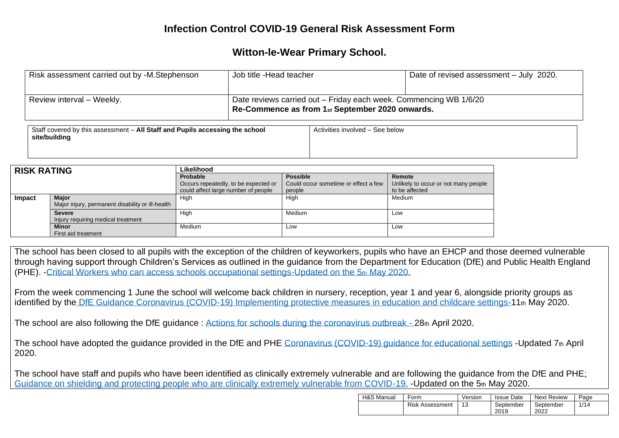## **Infection Control COVID-19 General Risk Assessment Form**

## **Witton-le-Wear Primary School.**

| Risk assessment carried out by -M.Stephenson | Job title -Head teacher                                                                                              | Date of revised assessment - July 2020. |  |  |  |
|----------------------------------------------|----------------------------------------------------------------------------------------------------------------------|-----------------------------------------|--|--|--|
| Review interval - Weekly.                    | Date reviews carried out – Friday each week. Commencing WB 1/6/20<br>Re-Commence as from 1st September 2020 onwards. |                                         |  |  |  |

| Staff covered by this assessment - All Staff and Pupils accessing the school<br>site/building | Activities involved – See below |
|-----------------------------------------------------------------------------------------------|---------------------------------|
|                                                                                               |                                 |

| <b>RISK RATING</b> |                                                  | Likelihood                           |                                      |                                      |
|--------------------|--------------------------------------------------|--------------------------------------|--------------------------------------|--------------------------------------|
|                    |                                                  | <b>Probable</b>                      | <b>Possible</b>                      | Remote                               |
|                    |                                                  | Occurs repeatedly, to be expected or | Could occur sometime or effect a few | Unlikely to occur or not many people |
|                    |                                                  | could affect large number of people  | people                               | to be affected                       |
| <b>Impact</b>      | Major                                            | High                                 | High                                 | Medium                               |
|                    | Major injury, permanent disability or ill-health |                                      |                                      |                                      |
|                    | <b>Severe</b>                                    | High                                 | Medium                               | Low                                  |
|                    | Injury requiring medical treatment               |                                      |                                      |                                      |
|                    | <b>Minor</b>                                     | Medium                               | LOW                                  | Low                                  |
|                    | First aid treatment                              |                                      |                                      |                                      |

The school has been closed to all pupils with the exception of the children of keyworkers, pupils who have an EHCP and those deemed vulnerable through having support through Children's Services as outlined in the guidance from the Department for Education (DfE) and Public Health England (PHE). [-Critical Workers who can access schools occupational settings-Updated on the 5](https://www.gov.uk/government/publications/coronavirus-covid-19-maintaining-educational-provision)th May 2020.

From the week commencing 1 June the school will welcome back children in nursery, reception, year 1 and year 6, alongside priority groups as identified by the [DfE Guidance Coronavirus \(COVID-19\) Implementing protective measures in education and childcare settings-1](https://www.gov.uk/government/publications/coronavirus-covid-19-implementing-protective-measures-in-education-and-childcare-settings/coronavirus-covid-19-implementing-protective-measures-in-education-and-childcare-settings)1th May 2020.

The school are also following the DfE guidance : [Actions for schools during the coronavirus outbreak -](https://www.gov.uk/government/publications/covid-19-school-closures/guidance-for-schools-about-temporarily-closing) 28th April 2020.

The school have adopted the quidance provided in the DfE and PHE Coronavirus (COVID-19) quidance for educational settings -Updated 7th April 2020.

The school have staff and pupils who have been identified as clinically extremely vulnerable and are following the quidance from the DfE and PHE; [Guidance on shielding and protecting people who are clinically extremely vulnerable from COVID-19.](https://www.gov.uk/government/publications/guidance-on-shielding-and-protecting-extremely-vulnerable-persons-from-covid-19/guidance-on-shielding-and-protecting-extremely-vulnerable-persons-from-covid-19) -Updated on the 5th May 2020.

| H&S Manual | Form                   | Version | <b>Issue Date</b> | <b>Next Review</b> | Page |
|------------|------------------------|---------|-------------------|--------------------|------|
|            | <b>Risk Assessment</b> | 13      | September<br>2019 | September<br>2022  | 1/14 |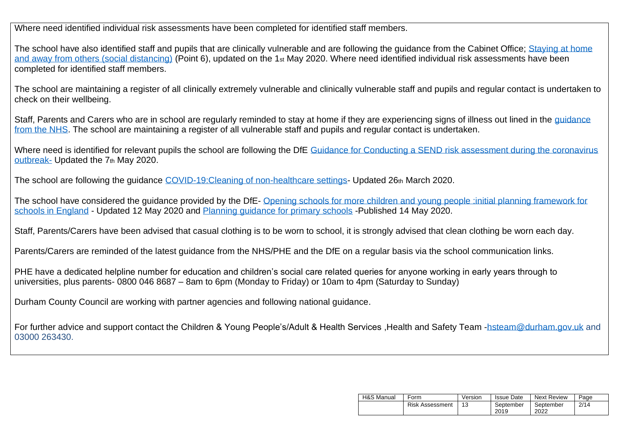Where need identified individual risk assessments have been completed for identified staff members.

The school have also identified staff and pupils that are clinically vulnerable and are following the guidance from the Cabinet Office; Staying at home [and away from others \(social distancing\)](https://www.gov.uk/government/publications/full-guidance-on-staying-at-home-and-away-from-others/full-guidance-on-staying-at-home-and-away-from-others) (Point 6), updated on the 1st May 2020. Where need identified individual risk assessments have been completed for identified staff members.

The school are maintaining a register of all clinically extremely vulnerable and clinically vulnerable staff and pupils and regular contact is undertaken to check on their wellbeing.

Staff, Parents and Carers who are in school are regularly reminded to stay at home if they are experiencing signs of illness out lined in the quidance [from the NHS.](https://www.nhs.uk/conditions/coronavirus-covid-19/check-if-you-have-coronavirus-symptoms/) The school are maintaining a register of all vulnerable staff and pupils and regular contact is undertaken.

Where need is identified for relevant pupils the school are following the DfE Guidance for Conducting a SEND risk assessment during the coronavirus [outbreak-](https://www.gov.uk/government/publications/coronavirus-covid-19-send-risk-assessment-guidance/coronavirus-covid-19-send-risk-assessment-guidance) Updated the 7<sup>th</sup> May 2020.

The school are following the guidance [COVID-19:Cleaning of non-healthcare settings-](https://www.gov.uk/government/publications/covid-19-decontamination-in-non-healthcare-settings) Updated 26th March 2020.

The school have considered the quidance provided by the DfE-Opening schools for more children and young people :initial planning framework for [schools in England](https://www.gov.uk/government/publications/actions-for-educational-and-childcare-settings-to-prepare-for-wider-opening-from-1-june-2020/opening-schools-for-more-children-and-young-people-initial-planning-framework-for-schools-in-england) - Updated 12 May 2020 and [Planning guidance for primary schools](https://www.gov.uk/government/publications/preparing-for-the-wider-opening-of-schools-from-1-june/planning-guide-for-primary-schools) -Published 14 May 2020.

Staff, Parents/Carers have been advised that casual clothing is to be worn to school, it is strongly advised that clean clothing be worn each day.

Parents/Carers are reminded of the latest guidance from the NHS/PHE and the DfE on a regular basis via the school communication links.

PHE have a dedicated helpline number for education and children's social care related queries for anyone working in early years through to universities, plus parents- 0800 046 8687 – 8am to 6pm (Monday to Friday) or 10am to 4pm (Saturday to Sunday)

Durham County Council are working with partner agencies and following national guidance.

For further advice and support contact the Children & Young People's/Adult & Health Services ,Health and Safety Team [-hsteam@durham.gov.uk](mailto:hsteam@durham.gov.uk) and 03000 263430.

| H&S Manual | Form                   | <b>Issue Date</b><br>Version |                   | <b>Next Review</b> | Page |
|------------|------------------------|------------------------------|-------------------|--------------------|------|
|            | <b>Risk Assessment</b> | 13                           | September<br>2019 | September<br>2022  | 2/14 |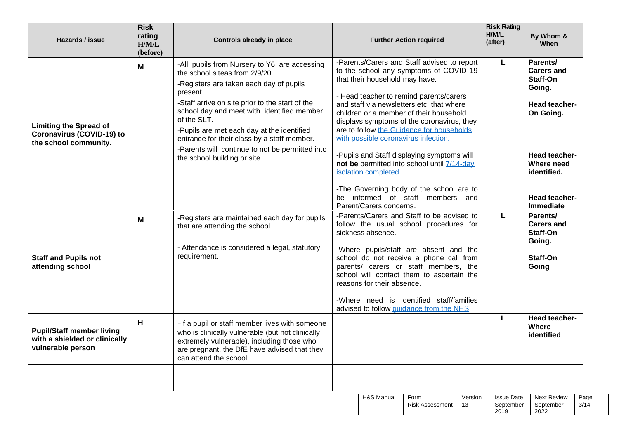| -Parents/Carers and Staff advised to report<br>L<br>Parents/<br>-All pupils from Nursery to Y6 are accessing<br>M<br><b>Carers and</b><br>to the school any symptoms of COVID 19<br>the school siteas from 2/9/20<br>that their household may have.<br>Staff-On<br>-Registers are taken each day of pupils<br>Going.<br>present.<br>- Head teacher to remind parents/carers<br>-Staff arrive on site prior to the start of the<br>and staff via newsletters etc. that where<br>school day and meet with identified member<br>children or a member of their household<br>On Going.<br>of the SLT.<br>displays symptoms of the coronavirus, they<br><b>Limiting the Spread of</b><br>are to follow the Guidance for households<br>-Pupils are met each day at the identified<br><b>Coronavirus (COVID-19) to</b><br>entrance for their class by a staff member.<br>with possible coronavirus infection.<br>the school community.<br>-Parents will continue to not be permitted into<br>-Pupils and Staff displaying symptoms will<br>the school building or site.<br>not be permitted into school until 7/14-day<br>Where need<br>isolation completed.<br>identified.<br>-The Governing body of the school are to<br>be informed of staff members and<br>Parent/Carers concerns.<br>Immediate<br>-Parents/Carers and Staff to be advised to<br>Parents/<br>L<br>-Registers are maintained each day for pupils<br>M<br>follow the usual school procedures for<br><b>Carers and</b><br>that are attending the school<br>Staff-On<br>sickness absence.<br>Going.<br>- Attendance is considered a legal, statutory<br>-Where pupils/staff are absent and the<br>requirement.<br><b>Staff and Pupils not</b><br>school do not receive a phone call from<br>Staff-On<br>parents/ carers or staff members, the<br>attending school<br>Going<br>school will contact them to ascertain the<br>reasons for their absence.<br>-Where need is identified staff/families<br>advised to follow guidance from the NHS<br>L<br>н<br>-If a pupil or staff member lives with someone<br><b>Where</b><br><b>Pupil/Staff member living</b><br>who is clinically vulnerable (but not clinically<br>identified<br>with a shielded or clinically<br>extremely vulnerable), including those who<br>vulnerable person<br>are pregnant, the DfE have advised that they<br>can attend the school.<br>$\sim$ | Hazards / issue | <b>Risk</b><br>rating<br>H/M/L<br>(before) | Controls already in place | <b>Further Action required</b> | <b>Risk Rating</b><br>H/M/L<br>(after) | By Whom &<br>When                                                    |
|--------------------------------------------------------------------------------------------------------------------------------------------------------------------------------------------------------------------------------------------------------------------------------------------------------------------------------------------------------------------------------------------------------------------------------------------------------------------------------------------------------------------------------------------------------------------------------------------------------------------------------------------------------------------------------------------------------------------------------------------------------------------------------------------------------------------------------------------------------------------------------------------------------------------------------------------------------------------------------------------------------------------------------------------------------------------------------------------------------------------------------------------------------------------------------------------------------------------------------------------------------------------------------------------------------------------------------------------------------------------------------------------------------------------------------------------------------------------------------------------------------------------------------------------------------------------------------------------------------------------------------------------------------------------------------------------------------------------------------------------------------------------------------------------------------------------------------------------------------------------------------------------------------------------------------------------------------------------------------------------------------------------------------------------------------------------------------------------------------------------------------------------------------------------------------------------------------------------------------------------------------------------------------------------------------------------------------------------------------------------------------|-----------------|--------------------------------------------|---------------------------|--------------------------------|----------------------------------------|----------------------------------------------------------------------|
|                                                                                                                                                                                                                                                                                                                                                                                                                                                                                                                                                                                                                                                                                                                                                                                                                                                                                                                                                                                                                                                                                                                                                                                                                                                                                                                                                                                                                                                                                                                                                                                                                                                                                                                                                                                                                                                                                                                                                                                                                                                                                                                                                                                                                                                                                                                                                                                |                 |                                            |                           |                                |                                        | <b>Head teacher-</b><br><b>Head teacher-</b><br><b>Head teacher-</b> |
|                                                                                                                                                                                                                                                                                                                                                                                                                                                                                                                                                                                                                                                                                                                                                                                                                                                                                                                                                                                                                                                                                                                                                                                                                                                                                                                                                                                                                                                                                                                                                                                                                                                                                                                                                                                                                                                                                                                                                                                                                                                                                                                                                                                                                                                                                                                                                                                |                 |                                            |                           |                                |                                        |                                                                      |
|                                                                                                                                                                                                                                                                                                                                                                                                                                                                                                                                                                                                                                                                                                                                                                                                                                                                                                                                                                                                                                                                                                                                                                                                                                                                                                                                                                                                                                                                                                                                                                                                                                                                                                                                                                                                                                                                                                                                                                                                                                                                                                                                                                                                                                                                                                                                                                                |                 |                                            |                           |                                |                                        | Head teacher-                                                        |
| H&S Manual<br>Form<br><b>Issue Date</b><br><b>Next Review</b><br>Version                                                                                                                                                                                                                                                                                                                                                                                                                                                                                                                                                                                                                                                                                                                                                                                                                                                                                                                                                                                                                                                                                                                                                                                                                                                                                                                                                                                                                                                                                                                                                                                                                                                                                                                                                                                                                                                                                                                                                                                                                                                                                                                                                                                                                                                                                                       |                 |                                            |                           |                                |                                        | Pa                                                                   |

| H&S Manual | Form            | Version | <b>Issue Date</b> | <b>Next Review</b> | Page |
|------------|-----------------|---------|-------------------|--------------------|------|
|            | Risk Assessment |         | September<br>2019 | September<br>2022  | 3/14 |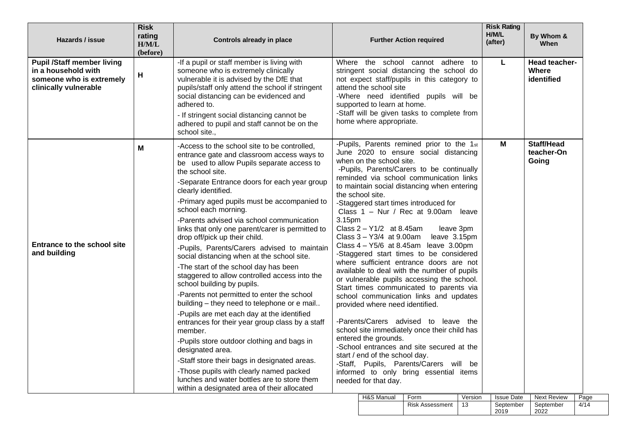| <b>Pupil /Staff member living</b><br>-If a pupil or staff member is living with<br>Where the school cannot adhere to<br>L<br><b>Head teacher-</b><br>in a household with<br>someone who is extremely clinically<br>stringent social distancing the school do<br>Where<br>H<br>vulnerable it is advised by the DfE that<br>identified<br>someone who is extremely<br>not expect staff/pupils in this category to<br>clinically vulnerable<br>pupils/staff only attend the school if stringent<br>attend the school site<br>social distancing can be evidenced and<br>-Where need identified pupils will be<br>adhered to.<br>supported to learn at home.<br>-Staff will be given tasks to complete from<br>- If stringent social distancing cannot be<br>home where appropriate.<br>adhered to pupil and staff cannot be on the<br>school site.,<br><b>Staff/Head</b><br>-Pupils, Parents remined prior to the 1st<br>М<br>-Access to the school site to be controlled.<br>Μ<br>June 2020 to ensure social distancing<br>teacher-On<br>entrance gate and classroom access ways to<br>when on the school site.<br>Going<br>be used to allow Pupils separate access to<br>-Pupils, Parents/Carers to be continually<br>the school site.<br>reminded via school communication links<br>-Separate Entrance doors for each year group<br>to maintain social distancing when entering<br>clearly identified.<br>the school site.<br>-Primary aged pupils must be accompanied to<br>-Staggered start times introduced for<br>school each morning.<br>Class 1 - Nur / Rec at 9.00am leave<br>-Parents advised via school communication<br>3.15pm<br>Class $2 - Y1/2$ at 8.45am<br>leave 3pm<br>links that only one parent/carer is permitted to<br>Class $3 - Y3/4$ at 9.00am leave 3.15pm<br>drop off/pick up their child.<br><b>Entrance to the school site</b><br>Class 4 - Y5/6 at 8.45am leave 3.00pm<br>-Pupils, Parents/Carers advised to maintain<br>and building<br>-Staggered start times to be considered<br>social distancing when at the school site.<br>where sufficient entrance doors are not<br>-The start of the school day has been<br>available to deal with the number of pupils<br>staggered to allow controlled access into the<br>or vulnerable pupils accessing the school.<br>school building by pupils.<br>Start times communicated to parents via<br>-Parents not permitted to enter the school<br>school communication links and updates<br>building - they need to telephone or e mail<br>provided where need identified.<br>-Pupils are met each day at the identified<br>-Parents/Carers advised to leave the<br>entrances for their year group class by a staff<br>school site immediately once their child has<br>member.<br>entered the grounds.<br>-Pupils store outdoor clothing and bags in<br>-School entrances and site secured at the<br>designated area.<br>start / end of the school day.<br>-Staff store their bags in designated areas.<br>-Staff, Pupils, Parents/Carers will be<br>-Those pupils with clearly named packed<br>informed to only bring essential items<br>lunches and water bottles are to store them<br>needed for that day. | Hazards / issue | <b>Risk</b><br>rating<br>$\mathbf{H} / \mathbf{M} / \mathbf{L}$<br>(before) | <b>Controls already in place</b> | <b>Further Action required</b> | <b>Risk Rating</b><br>H/M/L<br>(after) | By Whom &<br>When |
|-----------------------------------------------------------------------------------------------------------------------------------------------------------------------------------------------------------------------------------------------------------------------------------------------------------------------------------------------------------------------------------------------------------------------------------------------------------------------------------------------------------------------------------------------------------------------------------------------------------------------------------------------------------------------------------------------------------------------------------------------------------------------------------------------------------------------------------------------------------------------------------------------------------------------------------------------------------------------------------------------------------------------------------------------------------------------------------------------------------------------------------------------------------------------------------------------------------------------------------------------------------------------------------------------------------------------------------------------------------------------------------------------------------------------------------------------------------------------------------------------------------------------------------------------------------------------------------------------------------------------------------------------------------------------------------------------------------------------------------------------------------------------------------------------------------------------------------------------------------------------------------------------------------------------------------------------------------------------------------------------------------------------------------------------------------------------------------------------------------------------------------------------------------------------------------------------------------------------------------------------------------------------------------------------------------------------------------------------------------------------------------------------------------------------------------------------------------------------------------------------------------------------------------------------------------------------------------------------------------------------------------------------------------------------------------------------------------------------------------------------------------------------------------------------------------------------------------------------------------------------------------------------------------------------------------------------------------------------------------------------------------------------------------------------------------------------------------------------------------------------------------------------------------------------------------|-----------------|-----------------------------------------------------------------------------|----------------------------------|--------------------------------|----------------------------------------|-------------------|
|                                                                                                                                                                                                                                                                                                                                                                                                                                                                                                                                                                                                                                                                                                                                                                                                                                                                                                                                                                                                                                                                                                                                                                                                                                                                                                                                                                                                                                                                                                                                                                                                                                                                                                                                                                                                                                                                                                                                                                                                                                                                                                                                                                                                                                                                                                                                                                                                                                                                                                                                                                                                                                                                                                                                                                                                                                                                                                                                                                                                                                                                                                                                                                                   |                 |                                                                             |                                  |                                |                                        |                   |
|                                                                                                                                                                                                                                                                                                                                                                                                                                                                                                                                                                                                                                                                                                                                                                                                                                                                                                                                                                                                                                                                                                                                                                                                                                                                                                                                                                                                                                                                                                                                                                                                                                                                                                                                                                                                                                                                                                                                                                                                                                                                                                                                                                                                                                                                                                                                                                                                                                                                                                                                                                                                                                                                                                                                                                                                                                                                                                                                                                                                                                                                                                                                                                                   |                 | within a designated area of their allocated                                 |                                  |                                |                                        |                   |

| <b>H&amp;S Manual</b> | Form                   | Version | <b>Issue Date</b> | <b>Next Review</b> | Page |
|-----------------------|------------------------|---------|-------------------|--------------------|------|
|                       | <b>Risk Assessment</b> | 13      | September<br>2019 | September<br>2022  | 4/14 |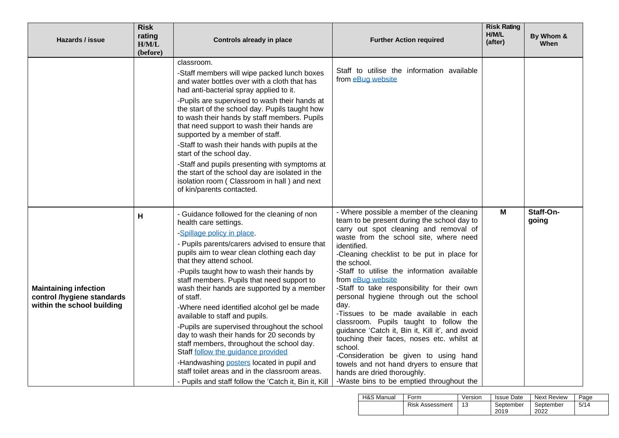| Hazards / issue                                                                          | <b>Risk</b><br>rating<br>H/M/L<br>(before) | <b>Controls already in place</b>                                                                                                                                                                                                                                                                                                                                                                                                                                                                                                                                                                                                                                                                                                                                                                             | <b>Further Action required</b>                                                                                                                                                                                                                                                                                                                                                                                                                                                                                                                                                                                                                                                                                                                                                                 | <b>Risk Rating</b><br>H/M/L<br>(after) | By Whom &<br>When  |
|------------------------------------------------------------------------------------------|--------------------------------------------|--------------------------------------------------------------------------------------------------------------------------------------------------------------------------------------------------------------------------------------------------------------------------------------------------------------------------------------------------------------------------------------------------------------------------------------------------------------------------------------------------------------------------------------------------------------------------------------------------------------------------------------------------------------------------------------------------------------------------------------------------------------------------------------------------------------|------------------------------------------------------------------------------------------------------------------------------------------------------------------------------------------------------------------------------------------------------------------------------------------------------------------------------------------------------------------------------------------------------------------------------------------------------------------------------------------------------------------------------------------------------------------------------------------------------------------------------------------------------------------------------------------------------------------------------------------------------------------------------------------------|----------------------------------------|--------------------|
|                                                                                          |                                            | classroom.<br>-Staff members will wipe packed lunch boxes<br>and water bottles over with a cloth that has<br>had anti-bacterial spray applied to it.<br>-Pupils are supervised to wash their hands at<br>the start of the school day. Pupils taught how<br>to wash their hands by staff members. Pupils<br>that need support to wash their hands are<br>supported by a member of staff.<br>-Staff to wash their hands with pupils at the<br>start of the school day.<br>-Staff and pupils presenting with symptoms at<br>the start of the school day are isolated in the<br>isolation room (Classroom in hall) and next<br>of kin/parents contacted.                                                                                                                                                         | Staff to utilise the information available<br>from eBug website                                                                                                                                                                                                                                                                                                                                                                                                                                                                                                                                                                                                                                                                                                                                |                                        |                    |
| <b>Maintaining infection</b><br>control /hygiene standards<br>within the school building | H                                          | - Guidance followed for the cleaning of non<br>health care settings.<br>-Spillage policy in place.<br>- Pupils parents/carers advised to ensure that<br>pupils aim to wear clean clothing each day<br>that they attend school.<br>-Pupils taught how to wash their hands by<br>staff members. Pupils that need support to<br>wash their hands are supported by a member<br>of staff.<br>-Where need identified alcohol gel be made<br>available to staff and pupils.<br>-Pupils are supervised throughout the school<br>day to wash their hands for 20 seconds by<br>staff members, throughout the school day.<br>Staff follow the guidance provided<br>-Handwashing posters located in pupil and<br>staff toilet areas and in the classroom areas.<br>- Pupils and staff follow the 'Catch it, Bin it, Kill | - Where possible a member of the cleaning<br>team to be present during the school day to<br>carry out spot cleaning and removal of<br>waste from the school site, where need<br>identified.<br>-Cleaning checklist to be put in place for<br>the school.<br>-Staff to utilise the information available<br>from eBug website<br>-Staff to take responsibility for their own<br>personal hygiene through out the school<br>day.<br>-Tissues to be made available in each<br>classroom. Pupils taught to follow the<br>guidance 'Catch it, Bin it, Kill it', and avoid<br>touching their faces, noses etc. whilst at<br>school.<br>-Consideration be given to using hand<br>towels and not hand dryers to ensure that<br>hands are dried thoroughly.<br>-Waste bins to be emptied throughout the | M                                      | Staff-On-<br>going |

| H&S Manual | Form                   | Version | <b>Issue Date</b> | Next Review       | Page |
|------------|------------------------|---------|-------------------|-------------------|------|
|            | <b>Risk Assessment</b> | 13      | September<br>2019 | September<br>2022 | 5/14 |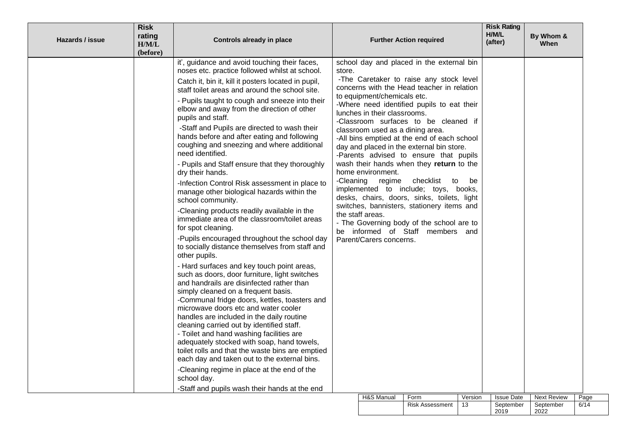| Hazards / issue | <b>Risk</b><br>rating<br>H/M/L<br>(before) | Controls already in place                                                                                                                                                                                                                                                                                                                                                                                                                                                                                                                                                                                                                                                                                                                                                                                                                                                                                                                                                                                                                                                                                                                                                                                                                                                                                                                                                                                                                                                                                                                                                                                            | <b>Further Action required</b> |                                                                                                                                                                               |                                                                                                                                                                                                                                                                                                                                                                                                                                                                                                                                                                                                                                                     | <b>Risk Rating</b><br>H/M/L<br>(after) | By Whom &<br>When |                    |      |
|-----------------|--------------------------------------------|----------------------------------------------------------------------------------------------------------------------------------------------------------------------------------------------------------------------------------------------------------------------------------------------------------------------------------------------------------------------------------------------------------------------------------------------------------------------------------------------------------------------------------------------------------------------------------------------------------------------------------------------------------------------------------------------------------------------------------------------------------------------------------------------------------------------------------------------------------------------------------------------------------------------------------------------------------------------------------------------------------------------------------------------------------------------------------------------------------------------------------------------------------------------------------------------------------------------------------------------------------------------------------------------------------------------------------------------------------------------------------------------------------------------------------------------------------------------------------------------------------------------------------------------------------------------------------------------------------------------|--------------------------------|-------------------------------------------------------------------------------------------------------------------------------------------------------------------------------|-----------------------------------------------------------------------------------------------------------------------------------------------------------------------------------------------------------------------------------------------------------------------------------------------------------------------------------------------------------------------------------------------------------------------------------------------------------------------------------------------------------------------------------------------------------------------------------------------------------------------------------------------------|----------------------------------------|-------------------|--------------------|------|
|                 |                                            | it', guidance and avoid touching their faces,<br>noses etc. practice followed whilst at school.<br>Catch it, bin it, kill it posters located in pupil,<br>staff toilet areas and around the school site.<br>- Pupils taught to cough and sneeze into their<br>elbow and away from the direction of other<br>pupils and staff.<br>-Staff and Pupils are directed to wash their<br>hands before and after eating and following<br>coughing and sneezing and where additional<br>need identified.<br>- Pupils and Staff ensure that they thoroughly<br>dry their hands.<br>-Infection Control Risk assessment in place to<br>manage other biological hazards within the<br>school community.<br>-Cleaning products readily available in the<br>immediate area of the classroom/toilet areas<br>for spot cleaning.<br>-Pupils encouraged throughout the school day<br>to socially distance themselves from staff and<br>other pupils.<br>- Hard surfaces and key touch point areas,<br>such as doors, door furniture, light switches<br>and handrails are disinfected rather than<br>simply cleaned on a frequent basis.<br>-Communal fridge doors, kettles, toasters and<br>microwave doors etc and water cooler<br>handles are included in the daily routine<br>cleaning carried out by identified staff.<br>- Toilet and hand washing facilities are<br>adequately stocked with soap, hand towels,<br>toilet rolls and that the waste bins are emptied<br>each day and taken out to the external bins.<br>-Cleaning regime in place at the end of the<br>school day.<br>-Staff and pupils wash their hands at the end | store.<br>-Cleaning            | to equipment/chemicals etc.<br>lunches in their classrooms.<br>classroom used as a dining area.<br>home environment.<br>regime<br>the staff areas.<br>Parent/Carers concerns. | school day and placed in the external bin<br>-The Caretaker to raise any stock level<br>concerns with the Head teacher in relation<br>-Where need identified pupils to eat their<br>-Classroom surfaces to be cleaned if<br>-All bins emptied at the end of each school<br>day and placed in the external bin store.<br>-Parents advised to ensure that pupils<br>wash their hands when they return to the<br>checklist<br>to<br>implemented to include; toys, books,<br>desks, chairs, doors, sinks, toilets, light<br>switches, bannisters, stationery items and<br>- The Governing body of the school are to<br>be informed of Staff members and | be                                     |                   |                    |      |
|                 |                                            |                                                                                                                                                                                                                                                                                                                                                                                                                                                                                                                                                                                                                                                                                                                                                                                                                                                                                                                                                                                                                                                                                                                                                                                                                                                                                                                                                                                                                                                                                                                                                                                                                      |                                | H&S Manual                                                                                                                                                                    | Form                                                                                                                                                                                                                                                                                                                                                                                                                                                                                                                                                                                                                                                | Version                                | <b>Issue Date</b> | <b>Next Review</b> | Page |
|                 |                                            |                                                                                                                                                                                                                                                                                                                                                                                                                                                                                                                                                                                                                                                                                                                                                                                                                                                                                                                                                                                                                                                                                                                                                                                                                                                                                                                                                                                                                                                                                                                                                                                                                      |                                |                                                                                                                                                                               | <b>Risk Assessment</b>                                                                                                                                                                                                                                                                                                                                                                                                                                                                                                                                                                                                                              | 13                                     | September<br>2019 | September<br>2022  | 6/14 |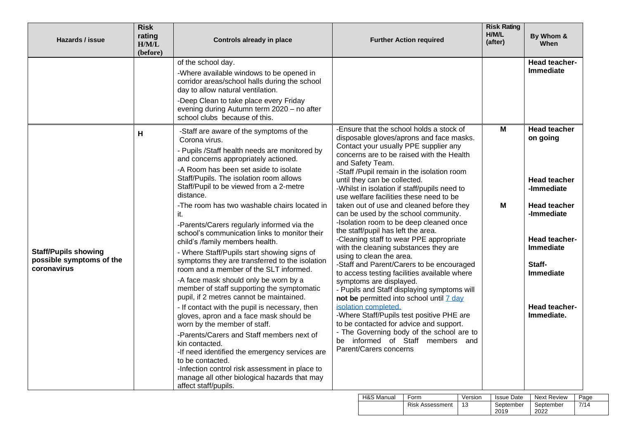| <b>Risk</b><br>rating<br>Hazards / issue<br>H/M/L<br>(before)          |   | <b>Controls already in place</b>                                                                                                                                                                                                                                                                                                                                                                                                                                                                                                                                                                                                                                                                                                                                                                                                                                                                                                                                                                                                                                                                                                                                 | <b>Further Action required</b>                                                                                                                                                                                                                                                                                                                                                                                                                                                                                                                                                                                                                                                                                                                                                                                                                                                                                                                                                                                                                                                                             | <b>Risk Rating</b><br>H/M/L<br>(after) | By Whom &<br>When                                                                                                                                                                                           |
|------------------------------------------------------------------------|---|------------------------------------------------------------------------------------------------------------------------------------------------------------------------------------------------------------------------------------------------------------------------------------------------------------------------------------------------------------------------------------------------------------------------------------------------------------------------------------------------------------------------------------------------------------------------------------------------------------------------------------------------------------------------------------------------------------------------------------------------------------------------------------------------------------------------------------------------------------------------------------------------------------------------------------------------------------------------------------------------------------------------------------------------------------------------------------------------------------------------------------------------------------------|------------------------------------------------------------------------------------------------------------------------------------------------------------------------------------------------------------------------------------------------------------------------------------------------------------------------------------------------------------------------------------------------------------------------------------------------------------------------------------------------------------------------------------------------------------------------------------------------------------------------------------------------------------------------------------------------------------------------------------------------------------------------------------------------------------------------------------------------------------------------------------------------------------------------------------------------------------------------------------------------------------------------------------------------------------------------------------------------------------|----------------------------------------|-------------------------------------------------------------------------------------------------------------------------------------------------------------------------------------------------------------|
|                                                                        |   | of the school day.<br>-Where available windows to be opened in<br>corridor areas/school halls during the school<br>day to allow natural ventilation.<br>-Deep Clean to take place every Friday<br>evening during Autumn term 2020 - no after<br>school clubs because of this.                                                                                                                                                                                                                                                                                                                                                                                                                                                                                                                                                                                                                                                                                                                                                                                                                                                                                    |                                                                                                                                                                                                                                                                                                                                                                                                                                                                                                                                                                                                                                                                                                                                                                                                                                                                                                                                                                                                                                                                                                            |                                        | Head teacher-<br><b>Immediate</b>                                                                                                                                                                           |
| <b>Staff/Pupils showing</b><br>possible symptoms of the<br>coronavirus | н | -Staff are aware of the symptoms of the<br>Corona virus.<br>- Pupils /Staff health needs are monitored by<br>and concerns appropriately actioned.<br>-A Room has been set aside to isolate<br>Staff/Pupils. The isolation room allows<br>Staff/Pupil to be viewed from a 2-metre<br>distance.<br>-The room has two washable chairs located in<br>it.<br>-Parents/Carers regularly informed via the<br>school's communication links to monitor their<br>child's /family members health.<br>- Where Staff/Pupils start showing signs of<br>symptoms they are transferred to the isolation<br>room and a member of the SLT informed.<br>-A face mask should only be worn by a<br>member of staff supporting the symptomatic<br>pupil, if 2 metres cannot be maintained.<br>- If contact with the pupil is necessary, then<br>gloves, apron and a face mask should be<br>worn by the member of staff.<br>-Parents/Carers and Staff members next of<br>kin contacted.<br>-If need identified the emergency services are<br>to be contacted.<br>-Infection control risk assessment in place to<br>manage all other biological hazards that may<br>affect staff/pupils. | -Ensure that the school holds a stock of<br>disposable gloves/aprons and face masks.<br>Contact your usually PPE supplier any<br>concerns are to be raised with the Health<br>and Safety Team.<br>-Staff /Pupil remain in the isolation room<br>until they can be collected.<br>-Whilst in isolation if staff/pupils need to<br>use welfare facilities these need to be<br>taken out of use and cleaned before they<br>can be used by the school community.<br>-Isolation room to be deep cleaned once<br>the staff/pupil has left the area.<br>-Cleaning staff to wear PPE appropriate<br>with the cleaning substances they are<br>using to clean the area.<br>-Staff and Parent/Carers to be encouraged<br>to access testing facilities available where<br>symptoms are displayed.<br>- Pupils and Staff displaying symptoms will<br>not be permitted into school until 7 day<br>isolation completed.<br>-Where Staff/Pupils test positive PHE are<br>to be contacted for advice and support.<br>- The Governing body of the school are to<br>be informed of Staff members and<br>Parent/Carers concerns | M<br>М                                 | <b>Head teacher</b><br>on going<br><b>Head teacher</b><br>-Immediate<br><b>Head teacher</b><br>-Immediate<br>Head teacher-<br><b>Immediate</b><br>Staff-<br><b>Immediate</b><br>Head teacher-<br>Immediate. |

| H&S Manual | Form                   | Version | <b>Issue Date</b> | <b>Next Review</b> | Page |
|------------|------------------------|---------|-------------------|--------------------|------|
|            | <b>Risk Assessment</b> |         | September<br>2019 | September<br>2022  | 7/14 |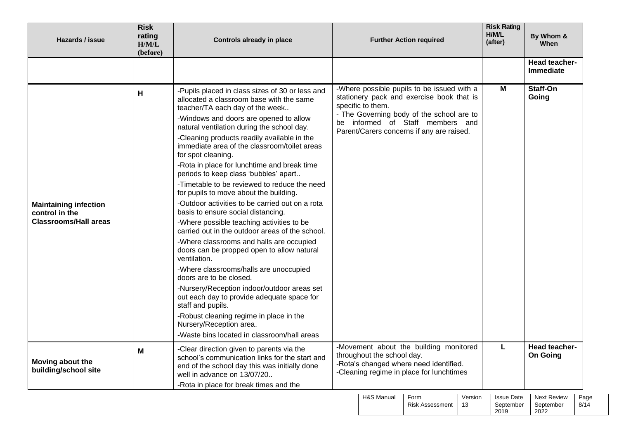| Hazards / issue                                                                | <b>Risk</b><br>rating<br>H/M/L<br>(before) | <b>Controls already in place</b>                                                                                                                                                                                                                                                                                                                                                                                                                                                                                                                                                                                                                                                                                                                                                                                                                                                                                                                                                                                                                                                                                                             | <b>Further Action required</b>                                                                                                                                                                                                             | <b>Risk Rating</b><br>H/M/L<br>(after) | By Whom &<br><b>When</b>          |
|--------------------------------------------------------------------------------|--------------------------------------------|----------------------------------------------------------------------------------------------------------------------------------------------------------------------------------------------------------------------------------------------------------------------------------------------------------------------------------------------------------------------------------------------------------------------------------------------------------------------------------------------------------------------------------------------------------------------------------------------------------------------------------------------------------------------------------------------------------------------------------------------------------------------------------------------------------------------------------------------------------------------------------------------------------------------------------------------------------------------------------------------------------------------------------------------------------------------------------------------------------------------------------------------|--------------------------------------------------------------------------------------------------------------------------------------------------------------------------------------------------------------------------------------------|----------------------------------------|-----------------------------------|
|                                                                                |                                            |                                                                                                                                                                                                                                                                                                                                                                                                                                                                                                                                                                                                                                                                                                                                                                                                                                                                                                                                                                                                                                                                                                                                              |                                                                                                                                                                                                                                            |                                        | <b>Head teacher-</b><br>Immediate |
| <b>Maintaining infection</b><br>control in the<br><b>Classrooms/Hall areas</b> | H                                          | -Pupils placed in class sizes of 30 or less and<br>allocated a classroom base with the same<br>teacher/TA each day of the week<br>-Windows and doors are opened to allow<br>natural ventilation during the school day.<br>-Cleaning products readily available in the<br>immediate area of the classroom/toilet areas<br>for spot cleaning.<br>-Rota in place for lunchtime and break time<br>periods to keep class 'bubbles' apart<br>-Timetable to be reviewed to reduce the need<br>for pupils to move about the building.<br>-Outdoor activities to be carried out on a rota<br>basis to ensure social distancing.<br>-Where possible teaching activities to be<br>carried out in the outdoor areas of the school.<br>-Where classrooms and halls are occupied<br>doors can be propped open to allow natural<br>ventilation.<br>-Where classrooms/halls are unoccupied<br>doors are to be closed.<br>-Nursery/Reception indoor/outdoor areas set<br>out each day to provide adequate space for<br>staff and pupils.<br>-Robust cleaning regime in place in the<br>Nursery/Reception area.<br>-Waste bins located in classroom/hall areas | -Where possible pupils to be issued with a<br>stationery pack and exercise book that is<br>specific to them.<br>- The Governing body of the school are to<br>be informed of Staff members and<br>Parent/Carers concerns if any are raised. | M                                      | Staff-On<br>Going                 |
| Moving about the<br>building/school site                                       | м                                          | -Clear direction given to parents via the<br>school's communication links for the start and<br>end of the school day this was initially done<br>well in advance on 13/07/20<br>-Rota in place for break times and the                                                                                                                                                                                                                                                                                                                                                                                                                                                                                                                                                                                                                                                                                                                                                                                                                                                                                                                        | -Movement about the building monitored<br>throughout the school day.<br>-Rota's changed where need identified.<br>-Cleaning regime in place for lunchtimes                                                                                 | L                                      | Head teacher-<br><b>On Going</b>  |

| H&S Manual | Form                   | Version | <b>Issue Date</b> | Next Review | Page |
|------------|------------------------|---------|-------------------|-------------|------|
|            | <b>Risk Assessment</b> | 13      | September         | September   | 8/14 |
|            |                        |         | 2019              | 2022        |      |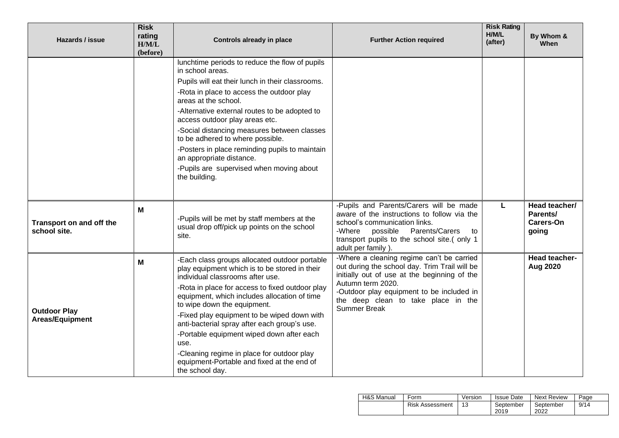| <b>Risk</b><br>rating<br>Hazards / issue<br><b>Controls already in place</b><br>H/M/L<br>(before) |   | <b>Further Action required</b>                                                                                                                                                                                                                                                                                                                                                                                                                                                                                                          | <b>Risk Rating</b><br>H/M/L<br>(after)                                                                                                                                                                                                                                     | By Whom &<br>When |                                                 |
|---------------------------------------------------------------------------------------------------|---|-----------------------------------------------------------------------------------------------------------------------------------------------------------------------------------------------------------------------------------------------------------------------------------------------------------------------------------------------------------------------------------------------------------------------------------------------------------------------------------------------------------------------------------------|----------------------------------------------------------------------------------------------------------------------------------------------------------------------------------------------------------------------------------------------------------------------------|-------------------|-------------------------------------------------|
|                                                                                                   |   | lunchtime periods to reduce the flow of pupils<br>in school areas.<br>Pupils will eat their lunch in their classrooms.<br>-Rota in place to access the outdoor play<br>areas at the school.<br>-Alternative external routes to be adopted to<br>access outdoor play areas etc.<br>-Social distancing measures between classes<br>to be adhered to where possible.<br>-Posters in place reminding pupils to maintain<br>an appropriate distance.<br>-Pupils are supervised when moving about<br>the building.                            |                                                                                                                                                                                                                                                                            |                   |                                                 |
| Transport on and off the<br>school site.                                                          | M | -Pupils will be met by staff members at the<br>usual drop off/pick up points on the school<br>site.                                                                                                                                                                                                                                                                                                                                                                                                                                     | -Pupils and Parents/Carers will be made<br>aware of the instructions to follow via the<br>school's communication links.<br>possible<br>Parents/Carers<br>-Where<br>to<br>transport pupils to the school site.(only 1<br>adult per family).                                 | L                 | Head teacher/<br>Parents/<br>Carers-On<br>going |
| <b>Outdoor Play</b><br>Areas/Equipment                                                            | M | -Each class groups allocated outdoor portable<br>play equipment which is to be stored in their<br>individual classrooms after use.<br>-Rota in place for access to fixed outdoor play<br>equipment, which includes allocation of time<br>to wipe down the equipment.<br>-Fixed play equipment to be wiped down with<br>anti-bacterial spray after each group's use.<br>-Portable equipment wiped down after each<br>use.<br>-Cleaning regime in place for outdoor play<br>equipment-Portable and fixed at the end of<br>the school day. | -Where a cleaning regime can't be carried<br>out during the school day. Trim Trail will be<br>initially out of use at the beginning of the<br>Autumn term 2020.<br>-Outdoor play equipment to be included in<br>the deep clean to take place in the<br><b>Summer Break</b> |                   | Head teacher-<br>Aug 2020                       |

| H&S Manual | Form                   | Version | <b>Issue Date</b> | <b>Next Review</b> | Page |
|------------|------------------------|---------|-------------------|--------------------|------|
|            | <b>Risk Assessment</b> | 13      | September<br>2019 | September<br>2022  | 9/14 |
|            |                        |         |                   |                    |      |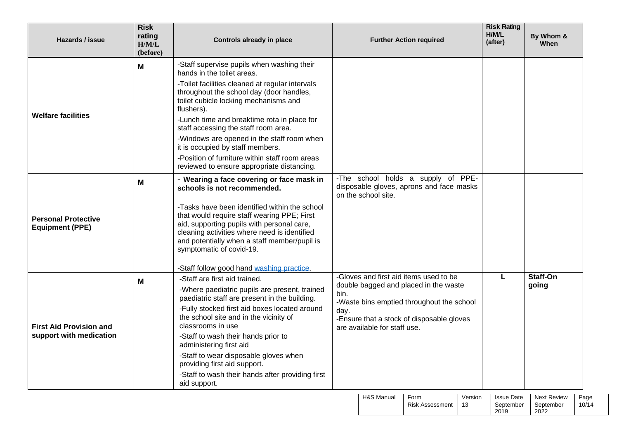| <b>Risk</b><br>rating<br>Hazards / issue<br>H/M/L<br>(before)                                                                                                                                                                                                                       |   | <b>Controls already in place</b>                                                                                                                                                                                                                                                                                                                                                                                                                                                                        | <b>Further Action required</b>                                                                                                                                                                                            | <b>Risk Rating</b><br>H/M/L<br>(after) | By Whom &<br><b>When</b> |
|-------------------------------------------------------------------------------------------------------------------------------------------------------------------------------------------------------------------------------------------------------------------------------------|---|---------------------------------------------------------------------------------------------------------------------------------------------------------------------------------------------------------------------------------------------------------------------------------------------------------------------------------------------------------------------------------------------------------------------------------------------------------------------------------------------------------|---------------------------------------------------------------------------------------------------------------------------------------------------------------------------------------------------------------------------|----------------------------------------|--------------------------|
| <b>Welfare facilities</b>                                                                                                                                                                                                                                                           | M | -Staff supervise pupils when washing their<br>hands in the toilet areas.<br>-Toilet facilities cleaned at regular intervals<br>throughout the school day (door handles,<br>toilet cubicle locking mechanisms and<br>flushers).<br>-Lunch time and breaktime rota in place for<br>staff accessing the staff room area.<br>-Windows are opened in the staff room when<br>it is occupied by staff members.<br>-Position of furniture within staff room areas<br>reviewed to ensure appropriate distancing. |                                                                                                                                                                                                                           |                                        |                          |
| <b>Personal Protective</b><br><b>Equipment (PPE)</b>                                                                                                                                                                                                                                | M | - Wearing a face covering or face mask in<br>schools is not recommended.<br>-Tasks have been identified within the school<br>that would require staff wearing PPE; First<br>aid, supporting pupils with personal care,<br>cleaning activities where need is identified<br>and potentially when a staff member/pupil is<br>symptomatic of covid-19.                                                                                                                                                      | -The school holds a supply of PPE-<br>disposable gloves, aprons and face masks<br>on the school site.                                                                                                                     |                                        |                          |
| -Staff follow good hand washing practice.<br>-Staff are first aid trained.<br>м<br>classrooms in use<br><b>First Aid Provision and</b><br>support with medication<br>-Staff to wash their hands prior to<br>administering first aid<br>providing first aid support.<br>aid support. |   | -Where paediatric pupils are present, trained<br>paediatric staff are present in the building.<br>-Fully stocked first aid boxes located around<br>the school site and in the vicinity of<br>-Staff to wear disposable gloves when<br>-Staff to wash their hands after providing first                                                                                                                                                                                                                  | -Gloves and first aid items used to be<br>double bagged and placed in the waste<br>bin.<br>-Waste bins emptied throughout the school<br>day.<br>-Ensure that a stock of disposable gloves<br>are available for staff use. | L                                      | Staff-On<br>going        |

| <b>H&amp;S Manual</b> | Form                   | Version | <b>Issue Date</b> | <b>Next Review</b> | Page  |
|-----------------------|------------------------|---------|-------------------|--------------------|-------|
|                       | <b>Risk Assessment</b> |         | September<br>2019 | September<br>2022  | 10/14 |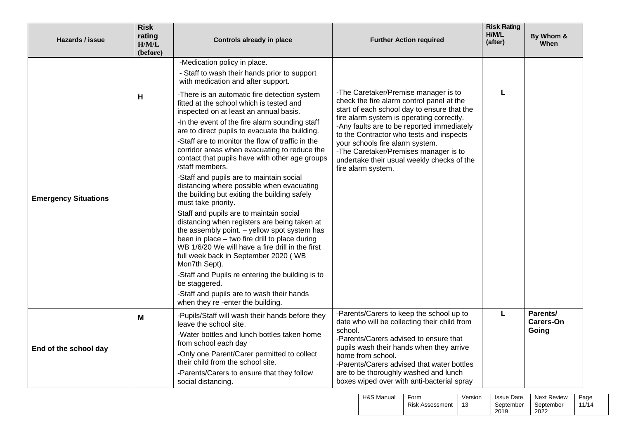| <b>Risk</b><br>rating<br>Hazards / issue<br>H/M/L<br>(before) |   | <b>Controls already in place</b>                                                                                                                                                                                                                                                                                                                                                                                                                                                                                                                                                                                                                                                                                                                                                                                                                                                                                                                                                                                                                | <b>Further Action required</b>                                                                                                                                                                                                                                                                                                                                                                                          | <b>Risk Rating</b><br>H/M/L<br>(after) | By Whom &<br>When              |
|---------------------------------------------------------------|---|-------------------------------------------------------------------------------------------------------------------------------------------------------------------------------------------------------------------------------------------------------------------------------------------------------------------------------------------------------------------------------------------------------------------------------------------------------------------------------------------------------------------------------------------------------------------------------------------------------------------------------------------------------------------------------------------------------------------------------------------------------------------------------------------------------------------------------------------------------------------------------------------------------------------------------------------------------------------------------------------------------------------------------------------------|-------------------------------------------------------------------------------------------------------------------------------------------------------------------------------------------------------------------------------------------------------------------------------------------------------------------------------------------------------------------------------------------------------------------------|----------------------------------------|--------------------------------|
|                                                               |   | -Medication policy in place.<br>- Staff to wash their hands prior to support<br>with medication and after support.                                                                                                                                                                                                                                                                                                                                                                                                                                                                                                                                                                                                                                                                                                                                                                                                                                                                                                                              |                                                                                                                                                                                                                                                                                                                                                                                                                         |                                        |                                |
| <b>Emergency Situations</b>                                   | н | -There is an automatic fire detection system<br>fitted at the school which is tested and<br>inspected on at least an annual basis.<br>-In the event of the fire alarm sounding staff<br>are to direct pupils to evacuate the building.<br>-Staff are to monitor the flow of traffic in the<br>corridor areas when evacuating to reduce the<br>contact that pupils have with other age groups<br>/staff members.<br>-Staff and pupils are to maintain social<br>distancing where possible when evacuating<br>the building but exiting the building safely<br>must take priority.<br>Staff and pupils are to maintain social<br>distancing when registers are being taken at<br>the assembly point. - yellow spot system has<br>been in place - two fire drill to place during<br>WB 1/6/20 We will have a fire drill in the first<br>full week back in September 2020 (WB<br>Mon7th Sept).<br>-Staff and Pupils re entering the building is to<br>be staggered.<br>-Staff and pupils are to wash their hands<br>when they re-enter the building. | -The Caretaker/Premise manager is to<br>check the fire alarm control panel at the<br>start of each school day to ensure that the<br>fire alarm system is operating correctly.<br>-Any faults are to be reported immediately<br>to the Contractor who tests and inspects<br>your schools fire alarm system.<br>-The Caretaker/Premises manager is to<br>undertake their usual weekly checks of the<br>fire alarm system. | L                                      |                                |
| End of the school day                                         | М | -Pupils/Staff will wash their hands before they<br>leave the school site.<br>-Water bottles and lunch bottles taken home<br>from school each day<br>-Only one Parent/Carer permitted to collect<br>their child from the school site.<br>-Parents/Carers to ensure that they follow<br>social distancing.                                                                                                                                                                                                                                                                                                                                                                                                                                                                                                                                                                                                                                                                                                                                        | -Parents/Carers to keep the school up to<br>date who will be collecting their child from<br>school.<br>-Parents/Carers advised to ensure that<br>pupils wash their hands when they arrive<br>home from school.<br>-Parents/Carers advised that water bottles<br>are to be thoroughly washed and lunch<br>boxes wiped over with anti-bacterial spray                                                                     | L                                      | Parents/<br>Carers-On<br>Going |

| H&S Manual | Form                   | Version | <b>Issue Date</b> | <b>Next Review</b> | Page  |
|------------|------------------------|---------|-------------------|--------------------|-------|
|            | <b>Risk Assessment</b> | 13      | September<br>2019 | September<br>2022  | 11/14 |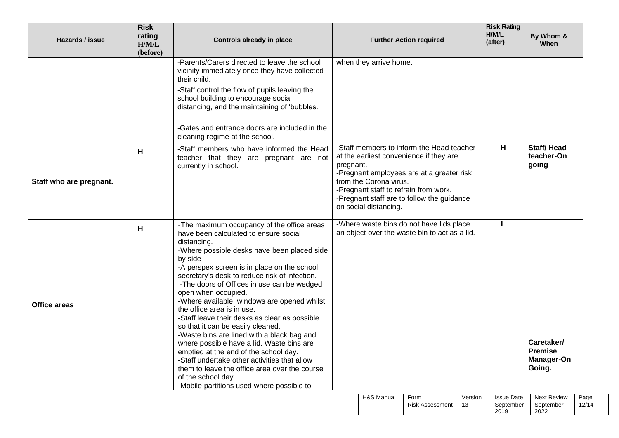| <b>Risk</b><br>rating<br>Hazards / issue<br>Controls already in place<br>H/M/L<br>(before) |    | <b>Further Action required</b>                                                                                                                                                                                                                                                                                                                                                                                                                                                                                                                                                                                                                                                                                                                                                                               | <b>Risk Rating</b><br>H/M/L<br>(after)                                                                                                                                                                                                                                                   | By Whom &<br>When |                                                      |
|--------------------------------------------------------------------------------------------|----|--------------------------------------------------------------------------------------------------------------------------------------------------------------------------------------------------------------------------------------------------------------------------------------------------------------------------------------------------------------------------------------------------------------------------------------------------------------------------------------------------------------------------------------------------------------------------------------------------------------------------------------------------------------------------------------------------------------------------------------------------------------------------------------------------------------|------------------------------------------------------------------------------------------------------------------------------------------------------------------------------------------------------------------------------------------------------------------------------------------|-------------------|------------------------------------------------------|
|                                                                                            |    | -Parents/Carers directed to leave the school<br>vicinity immediately once they have collected<br>their child.<br>-Staff control the flow of pupils leaving the<br>school building to encourage social<br>distancing, and the maintaining of 'bubbles.'<br>-Gates and entrance doors are included in the<br>cleaning regime at the school.                                                                                                                                                                                                                                                                                                                                                                                                                                                                    | when they arrive home.                                                                                                                                                                                                                                                                   |                   |                                                      |
| Staff who are pregnant.                                                                    | н  | -Staff members who have informed the Head<br>teacher that they are pregnant are not<br>currently in school.                                                                                                                                                                                                                                                                                                                                                                                                                                                                                                                                                                                                                                                                                                  | -Staff members to inform the Head teacher<br>at the earliest convenience if they are<br>pregnant.<br>-Pregnant employees are at a greater risk<br>from the Corona virus.<br>-Pregnant staff to refrain from work.<br>-Pregnant staff are to follow the guidance<br>on social distancing. | H                 | <b>Staff/Head</b><br>teacher-On<br>going             |
| Office areas                                                                               | H. | -The maximum occupancy of the office areas<br>have been calculated to ensure social<br>distancing.<br>-Where possible desks have been placed side<br>by side<br>-A perspex screen is in place on the school<br>secretary's desk to reduce risk of infection.<br>-The doors of Offices in use can be wedged<br>open when occupied.<br>-Where available, windows are opened whilst<br>the office area is in use.<br>-Staff leave their desks as clear as possible<br>so that it can be easily cleaned.<br>-Waste bins are lined with a black bag and<br>where possible have a lid. Waste bins are<br>emptied at the end of the school day.<br>-Staff undertake other activities that allow<br>them to leave the office area over the course<br>of the school day.<br>-Mobile partitions used where possible to | -Where waste bins do not have lids place<br>an object over the waste bin to act as a lid.                                                                                                                                                                                                | $\mathsf{L}$      | Caretaker/<br><b>Premise</b><br>Manager-On<br>Going. |

| <b>H&amp;S Manual</b> | Form                   | Version | <b>Issue Date</b> | <b>Next Review</b> | Page  |
|-----------------------|------------------------|---------|-------------------|--------------------|-------|
|                       | <b>Risk Assessment</b> |         | September<br>2019 | September<br>2022  | 12/14 |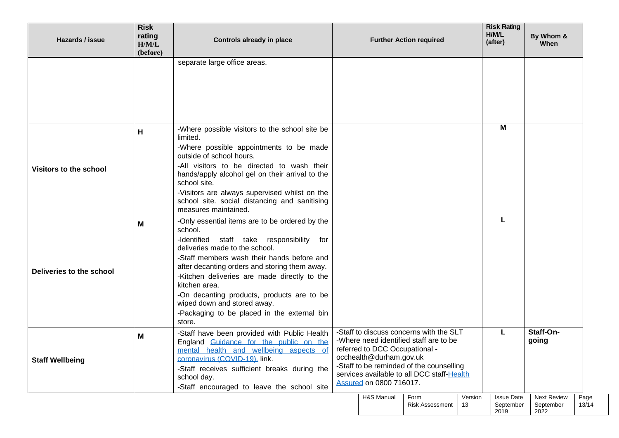| Hazards / issue          | <b>Risk</b><br>rating<br>H/M/L<br>(before) | <b>Controls already in place</b>                                                                                                                                                                                                                                                                                                                                                                                                               |                                                                                                                                                                                                                                                                     | <b>Further Action required</b> |                                | <b>Risk Rating</b><br>H/M/L<br>(after) | By Whom &<br>When                      |                                         |               |
|--------------------------|--------------------------------------------|------------------------------------------------------------------------------------------------------------------------------------------------------------------------------------------------------------------------------------------------------------------------------------------------------------------------------------------------------------------------------------------------------------------------------------------------|---------------------------------------------------------------------------------------------------------------------------------------------------------------------------------------------------------------------------------------------------------------------|--------------------------------|--------------------------------|----------------------------------------|----------------------------------------|-----------------------------------------|---------------|
|                          |                                            | separate large office areas.                                                                                                                                                                                                                                                                                                                                                                                                                   |                                                                                                                                                                                                                                                                     |                                |                                |                                        |                                        |                                         |               |
| Visitors to the school   | н                                          | -Where possible visitors to the school site be<br>limited.<br>-Where possible appointments to be made<br>outside of school hours.<br>-All visitors to be directed to wash their<br>hands/apply alcohol gel on their arrival to the<br>school site.<br>-Visitors are always supervised whilst on the<br>school site. social distancing and sanitising<br>measures maintained.                                                                   |                                                                                                                                                                                                                                                                     |                                |                                |                                        | м                                      |                                         |               |
| Deliveries to the school | M                                          | -Only essential items are to be ordered by the<br>school.<br>-Identified staff take responsibility for<br>deliveries made to the school.<br>-Staff members wash their hands before and<br>after decanting orders and storing them away.<br>-Kitchen deliveries are made directly to the<br>kitchen area.<br>-On decanting products, products are to be<br>wiped down and stored away.<br>-Packaging to be placed in the external bin<br>store. |                                                                                                                                                                                                                                                                     |                                |                                |                                        |                                        |                                         |               |
| <b>Staff Wellbeing</b>   | M                                          | -Staff have been provided with Public Health<br>England Guidance for the public on the<br>mental health and wellbeing aspects of<br>coronavirus (COVID-19). link.<br>-Staff receives sufficient breaks during the<br>school day.<br>-Staff encouraged to leave the school site                                                                                                                                                                 | -Staff to discuss concerns with the SLT<br>-Where need identified staff are to be<br>referred to DCC Occupational -<br>occhealth@durham.gov.uk<br>-Staff to be reminded of the counselling<br>services available to all DCC staff-Health<br>Assured on 0800 716017. |                                |                                |                                        | Staff-On-<br>going                     |                                         |               |
|                          |                                            |                                                                                                                                                                                                                                                                                                                                                                                                                                                |                                                                                                                                                                                                                                                                     | H&S Manual                     | Form<br><b>Risk Assessment</b> | Version<br>13                          | <b>Issue Date</b><br>September<br>2019 | <b>Next Review</b><br>September<br>2022 | Page<br>13/14 |